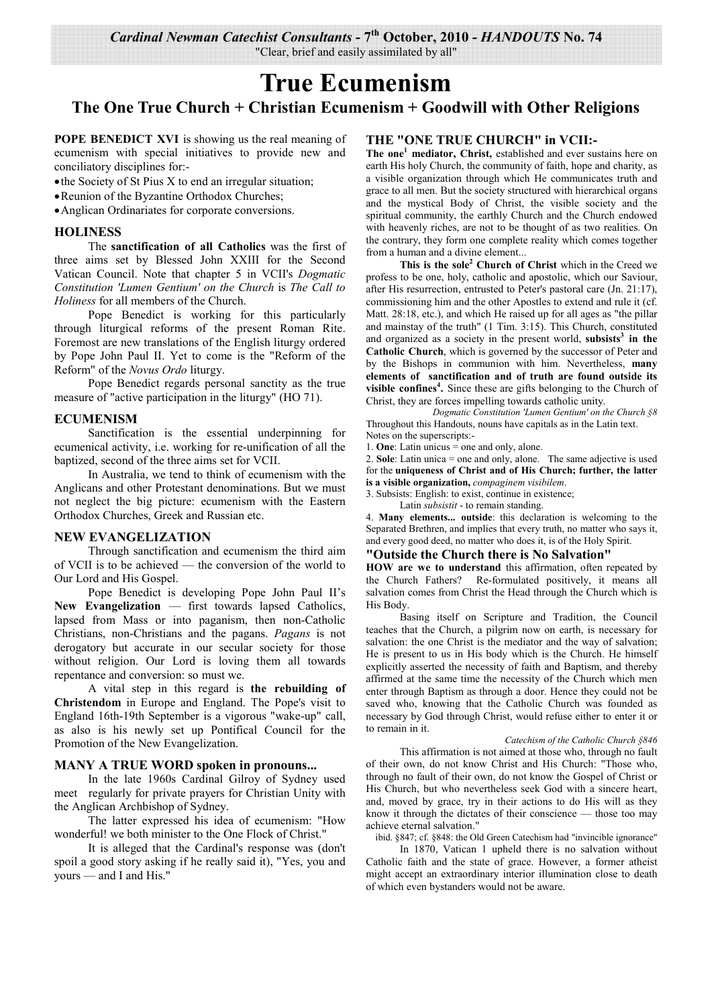*Cardinal Newman Catechist Consultants* **- 7th October, 2010 -** *HANDOUTS* **No. 74** 

"Clear, brief and easily assimilated by all"

# **True Ecumenism**

**The One True Church + Christian Ecumenism + Goodwill with Other Religions** 

**POPE BENEDICT XVI** is showing us the real meaning of ecumenism with special initiatives to provide new and conciliatory disciplines for:-

• the Society of St Pius X to end an irregular situation;

• Reunion of the Byzantine Orthodox Churches;

• Anglican Ordinariates for corporate conversions.

## **HOLINESS**

 The **sanctification of all Catholics** was the first of three aims set by Blessed John XXIII for the Second Vatican Council. Note that chapter 5 in VCII's *Dogmatic Constitution 'Lumen Gentium' on the Church* is *The Call to Holiness* for all members of the Church.

 Pope Benedict is working for this particularly through liturgical reforms of the present Roman Rite. Foremost are new translations of the English liturgy ordered by Pope John Paul II. Yet to come is the "Reform of the Reform" of the *Novus Ordo* liturgy.

 Pope Benedict regards personal sanctity as the true measure of "active participation in the liturgy" (HO 71).

#### **ECUMENISM**

 Sanctification is the essential underpinning for ecumenical activity, i.e. working for re-unification of all the baptized, second of the three aims set for VCII.

 In Australia, we tend to think of ecumenism with the Anglicans and other Protestant denominations. But we must not neglect the big picture: ecumenism with the Eastern Orthodox Churches, Greek and Russian etc.

#### **NEW EVANGELIZATION**

 Through sanctification and ecumenism the third aim of VCII is to be achieved — the conversion of the world to Our Lord and His Gospel.

 Pope Benedict is developing Pope John Paul II's **New Evangelization** — first towards lapsed Catholics, lapsed from Mass or into paganism, then non-Catholic Christians, non-Christians and the pagans. *Pagans* is not derogatory but accurate in our secular society for those without religion. Our Lord is loving them all towards repentance and conversion: so must we.

 A vital step in this regard is **the rebuilding of Christendom** in Europe and England. The Pope's visit to England 16th-19th September is a vigorous "wake-up" call, as also is his newly set up Pontifical Council for the Promotion of the New Evangelization.

### **MANY A TRUE WORD spoken in pronouns...**

 In the late 1960s Cardinal Gilroy of Sydney used meet regularly for private prayers for Christian Unity with the Anglican Archbishop of Sydney.

 The latter expressed his idea of ecumenism: "How wonderful! we both minister to the One Flock of Christ."

 It is alleged that the Cardinal's response was (don't spoil a good story asking if he really said it), "Yes, you and yours — and I and His."

#### **THE "ONE TRUE CHURCH" in VCII:-**

**The one<sup>1</sup> mediator, Christ,** established and ever sustains here on earth His holy Church, the community of faith, hope and charity, as a visible organization through which He communicates truth and grace to all men. But the society structured with hierarchical organs and the mystical Body of Christ, the visible society and the spiritual community, the earthly Church and the Church endowed with heavenly riches, are not to be thought of as two realities. On the contrary, they form one complete reality which comes together from a human and a divine element...

**This is the sole<sup>2</sup> Church of Christ** which in the Creed we profess to be one, holy, catholic and apostolic, which our Saviour, after His resurrection, entrusted to Peter's pastoral care (Jn. 21:17), commissioning him and the other Apostles to extend and rule it (cf. Matt. 28:18, etc.), and which He raised up for all ages as "the pillar and mainstay of the truth" (1 Tim. 3:15). This Church, constituted and organized as a society in the present world, **subsists<sup>3</sup> in the Catholic Church**, which is governed by the successor of Peter and by the Bishops in communion with him. Nevertheless, **many elements of sanctification and of truth are found outside its visible confines<sup>4</sup> .** Since these are gifts belonging to the Church of Christ, they are forces impelling towards catholic unity.

*Dogmatic Constitution 'Lumen Gentium' on the Church §8*  Throughout this Handouts, nouns have capitals as in the Latin text. Notes on the superscripts:-

1. **One**: Latin unicus = one and only, alone.

2. **Sole**: Latin unica = one and only, alone. The same adjective is used for the **uniqueness of Christ and of His Church; further, the latter is a visible organization,** *compaginem visibilem*.

3. Subsists: English: to exist, continue in existence;

Latin *subsistit* - to remain standing.

4. **Many elements... outside**: this declaration is welcoming to the Separated Brethren, and implies that every truth, no matter who says it, and every good deed, no matter who does it, is of the Holy Spirit.

## **"Outside the Church there is No Salvation"**

**HOW are we to understand** this affirmation, often repeated by the Church Fathers? Re-formulated positively, it means all salvation comes from Christ the Head through the Church which is His Body.

 Basing itself on Scripture and Tradition, the Council teaches that the Church, a pilgrim now on earth, is necessary for salvation: the one Christ is the mediator and the way of salvation; He is present to us in His body which is the Church. He himself explicitly asserted the necessity of faith and Baptism, and thereby affirmed at the same time the necessity of the Church which men enter through Baptism as through a door. Hence they could not be saved who, knowing that the Catholic Church was founded as necessary by God through Christ, would refuse either to enter it or to remain in it.

*Catechism of the Catholic Church §846* 

This affirmation is not aimed at those who, through no fault of their own, do not know Christ and His Church: "Those who, through no fault of their own, do not know the Gospel of Christ or His Church, but who nevertheless seek God with a sincere heart, and, moved by grace, try in their actions to do His will as they know it through the dictates of their conscience — those too may achieve eternal salvation."

ibid. §847; cf. §848: the Old Green Catechism had "invincible ignorance"

In 1870, Vatican 1 upheld there is no salvation without Catholic faith and the state of grace. However, a former atheist might accept an extraordinary interior illumination close to death of which even bystanders would not be aware.